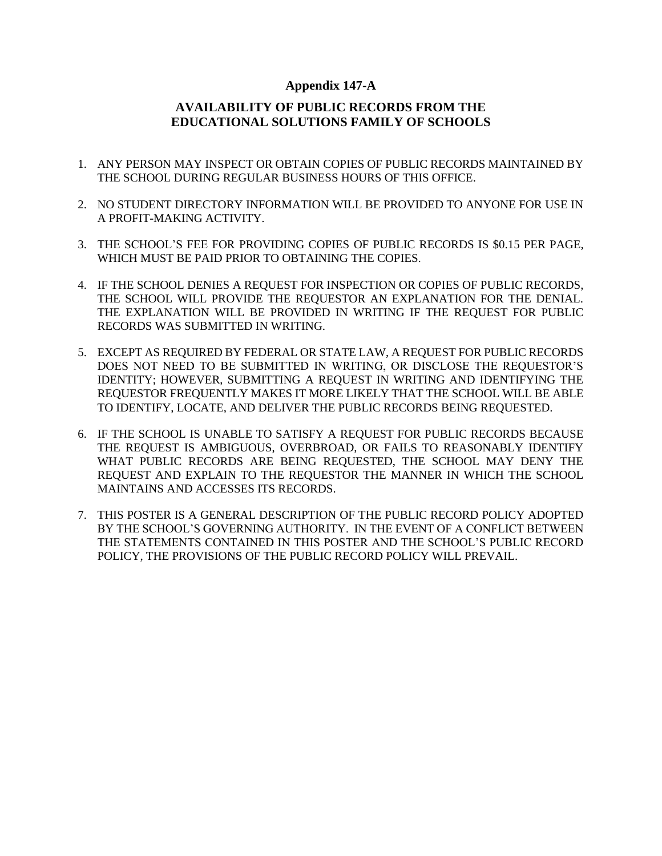### **Appendix 147-A**

# **AVAILABILITY OF PUBLIC RECORDS FROM THE EDUCATIONAL SOLUTIONS FAMILY OF SCHOOLS**

- 1. ANY PERSON MAY INSPECT OR OBTAIN COPIES OF PUBLIC RECORDS MAINTAINED BY THE SCHOOL DURING REGULAR BUSINESS HOURS OF THIS OFFICE.
- 2. NO STUDENT DIRECTORY INFORMATION WILL BE PROVIDED TO ANYONE FOR USE IN A PROFIT-MAKING ACTIVITY.
- 3. THE SCHOOL'S FEE FOR PROVIDING COPIES OF PUBLIC RECORDS IS \$0.15 PER PAGE, WHICH MUST BE PAID PRIOR TO OBTAINING THE COPIES.
- 4. IF THE SCHOOL DENIES A REQUEST FOR INSPECTION OR COPIES OF PUBLIC RECORDS, THE SCHOOL WILL PROVIDE THE REQUESTOR AN EXPLANATION FOR THE DENIAL. THE EXPLANATION WILL BE PROVIDED IN WRITING IF THE REQUEST FOR PUBLIC RECORDS WAS SUBMITTED IN WRITING.
- 5. EXCEPT AS REQUIRED BY FEDERAL OR STATE LAW, A REQUEST FOR PUBLIC RECORDS DOES NOT NEED TO BE SUBMITTED IN WRITING, OR DISCLOSE THE REQUESTOR'S IDENTITY; HOWEVER, SUBMITTING A REQUEST IN WRITING AND IDENTIFYING THE REQUESTOR FREQUENTLY MAKES IT MORE LIKELY THAT THE SCHOOL WILL BE ABLE TO IDENTIFY, LOCATE, AND DELIVER THE PUBLIC RECORDS BEING REQUESTED.
- 6. IF THE SCHOOL IS UNABLE TO SATISFY A REQUEST FOR PUBLIC RECORDS BECAUSE THE REQUEST IS AMBIGUOUS, OVERBROAD, OR FAILS TO REASONABLY IDENTIFY WHAT PUBLIC RECORDS ARE BEING REQUESTED, THE SCHOOL MAY DENY THE REQUEST AND EXPLAIN TO THE REQUESTOR THE MANNER IN WHICH THE SCHOOL MAINTAINS AND ACCESSES ITS RECORDS.
- 7. THIS POSTER IS A GENERAL DESCRIPTION OF THE PUBLIC RECORD POLICY ADOPTED BY THE SCHOOL'S GOVERNING AUTHORITY. IN THE EVENT OF A CONFLICT BETWEEN THE STATEMENTS CONTAINED IN THIS POSTER AND THE SCHOOL'S PUBLIC RECORD POLICY, THE PROVISIONS OF THE PUBLIC RECORD POLICY WILL PREVAIL.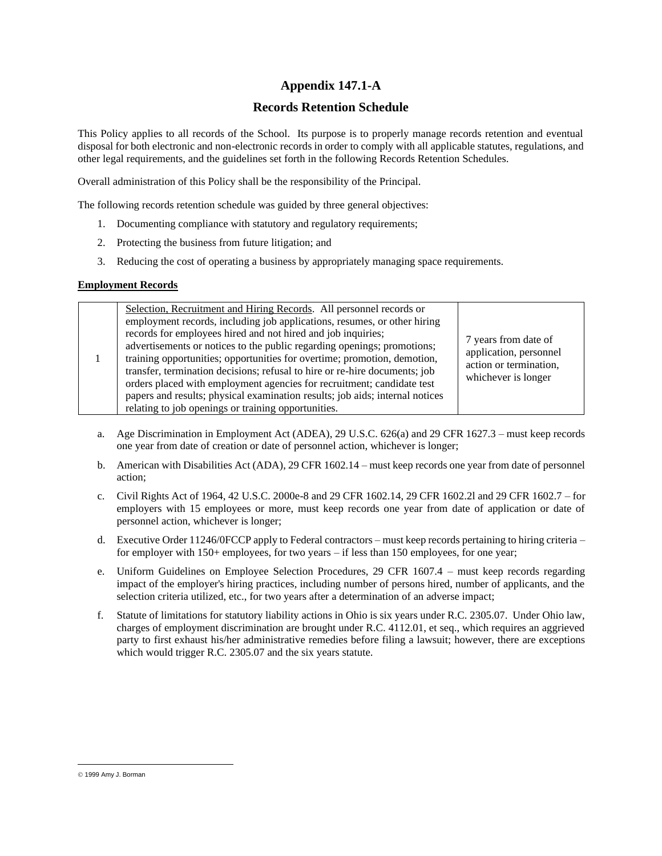## **Appendix 147.1-A**

### **Records Retention Schedule**

This Policy applies to all records of the School. Its purpose is to properly manage records retention and eventual disposal for both electronic and non-electronic records in order to comply with all applicable statutes, regulations, and other legal requirements, and the guidelines set forth in the following Records Retention Schedules.

Overall administration of this Policy shall be the responsibility of the Principal.

The following records retention schedule was guided by three general objectives:

- 1. Documenting compliance with statutory and regulatory requirements;
- 2. Protecting the business from future litigation; and
- 3. Reducing the cost of operating a business by appropriately managing space requirements.

### **Employment Records**

|  | Selection, Recruitment and Hiring Records. All personnel records or<br>employment records, including job applications, resumes, or other hiring<br>records for employees hired and not hired and job inquiries;<br>advertisements or notices to the public regarding openings; promotions;<br>training opportunities; opportunities for overtime; promotion, demotion,<br>transfer, termination decisions; refusal to hire or re-hire documents; job<br>orders placed with employment agencies for recruitment; candidate test<br>papers and results; physical examination results; job aids; internal notices<br>relating to job openings or training opportunities. | 7 years from date of<br>application, personnel<br>action or termination,<br>whichever is longer |
|--|-----------------------------------------------------------------------------------------------------------------------------------------------------------------------------------------------------------------------------------------------------------------------------------------------------------------------------------------------------------------------------------------------------------------------------------------------------------------------------------------------------------------------------------------------------------------------------------------------------------------------------------------------------------------------|-------------------------------------------------------------------------------------------------|
|--|-----------------------------------------------------------------------------------------------------------------------------------------------------------------------------------------------------------------------------------------------------------------------------------------------------------------------------------------------------------------------------------------------------------------------------------------------------------------------------------------------------------------------------------------------------------------------------------------------------------------------------------------------------------------------|-------------------------------------------------------------------------------------------------|

- a. Age Discrimination in Employment Act (ADEA), 29 U.S.C. 626(a) and 29 CFR 1627.3 must keep records one year from date of creation or date of personnel action, whichever is longer;
- b. American with Disabilities Act (ADA), 29 CFR 1602.14 must keep records one year from date of personnel action;
- c. Civil Rights Act of 1964, 42 U.S.C. 2000e-8 and 29 CFR 1602.14, 29 CFR 1602.2l and 29 CFR 1602.7 for employers with 15 employees or more, must keep records one year from date of application or date of personnel action, whichever is longer;
- d. Executive Order 11246/0FCCP apply to Federal contractors must keep records pertaining to hiring criteria for employer with 150+ employees, for two years – if less than 150 employees, for one year;
- e. Uniform Guidelines on Employee Selection Procedures, 29 CFR 1607.4 must keep records regarding impact of the employer's hiring practices, including number of persons hired, number of applicants, and the selection criteria utilized, etc., for two years after a determination of an adverse impact;
- f. Statute of limitations for statutory liability actions in Ohio is six years under R.C. 2305.07. Under Ohio law, charges of employment discrimination are brought under R.C. 4112.01, et seq., which requires an aggrieved party to first exhaust his/her administrative remedies before filing a lawsuit; however, there are exceptions which would trigger R.C. 2305.07 and the six years statute.

<sup>©</sup> 1999 Amy J. Borman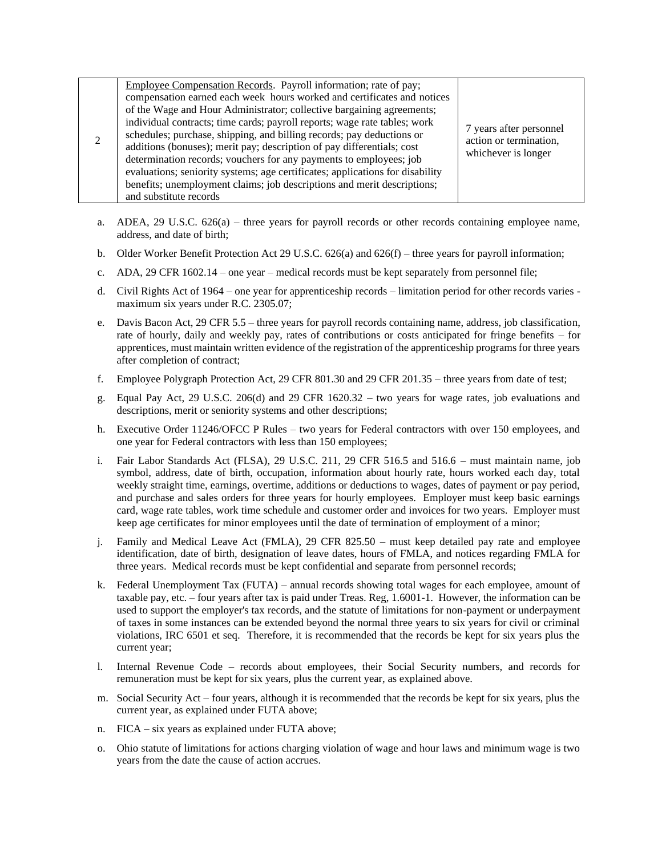| Employee Compensation Records. Payroll information; rate of pay;<br>compensation earned each week hours worked and certificates and notices<br>of the Wage and Hour Administrator; collective bargaining agreements;<br>individual contracts; time cards; payroll reports; wage rate tables; work<br>schedules; purchase, shipping, and billing records; pay deductions or<br>additions (bonuses); merit pay; description of pay differentials; cost<br>determination records; vouchers for any payments to employees; job<br>evaluations; seniority systems; age certificates; applications for disability<br>benefits; unemployment claims; job descriptions and merit descriptions; | 7 years after personnel<br>action or termination,<br>whichever is longer |
|----------------------------------------------------------------------------------------------------------------------------------------------------------------------------------------------------------------------------------------------------------------------------------------------------------------------------------------------------------------------------------------------------------------------------------------------------------------------------------------------------------------------------------------------------------------------------------------------------------------------------------------------------------------------------------------|--------------------------------------------------------------------------|
| and substitute records                                                                                                                                                                                                                                                                                                                                                                                                                                                                                                                                                                                                                                                                 |                                                                          |

- a. ADEA, 29 U.S.C.  $626(a)$  three years for payroll records or other records containing employee name, address, and date of birth;
- b. Older Worker Benefit Protection Act 29 U.S.C. 626(a) and 626(f) three years for payroll information;
- c. ADA, 29 CFR 1602.14 one year medical records must be kept separately from personnel file;
- d. Civil Rights Act of 1964 one year for apprenticeship records limitation period for other records varies maximum six years under R.C. 2305.07;
- e. Davis Bacon Act, 29 CFR 5.5 three years for payroll records containing name, address, job classification, rate of hourly, daily and weekly pay, rates of contributions or costs anticipated for fringe benefits – for apprentices, must maintain written evidence of the registration of the apprenticeship programs for three years after completion of contract;
- f. Employee Polygraph Protection Act, 29 CFR 801.30 and 29 CFR 201.35 three years from date of test;
- g. Equal Pay Act, 29 U.S.C. 206(d) and 29 CFR 1620.32 two years for wage rates, job evaluations and descriptions, merit or seniority systems and other descriptions;
- h. Executive Order 11246/OFCC P Rules two years for Federal contractors with over 150 employees, and one year for Federal contractors with less than 150 employees;
- i. Fair Labor Standards Act (FLSA), 29 U.S.C. 211, 29 CFR 516.5 and 516.6 must maintain name, job symbol, address, date of birth, occupation, information about hourly rate, hours worked each day, total weekly straight time, earnings, overtime, additions or deductions to wages, dates of payment or pay period, and purchase and sales orders for three years for hourly employees. Employer must keep basic earnings card, wage rate tables, work time schedule and customer order and invoices for two years. Employer must keep age certificates for minor employees until the date of termination of employment of a minor;
- j. Family and Medical Leave Act (FMLA), 29 CFR 825.50 must keep detailed pay rate and employee identification, date of birth, designation of leave dates, hours of FMLA, and notices regarding FMLA for three years. Medical records must be kept confidential and separate from personnel records;
- k. Federal Unemployment Tax (FUTA) annual records showing total wages for each employee, amount of taxable pay, etc. – four years after tax is paid under Treas. Reg, 1.6001-1. However, the information can be used to support the employer's tax records, and the statute of limitations for non-payment or underpayment of taxes in some instances can be extended beyond the normal three years to six years for civil or criminal violations, IRC 6501 et seq. Therefore, it is recommended that the records be kept for six years plus the current year;
- l. Internal Revenue Code records about employees, their Social Security numbers, and records for remuneration must be kept for six years, plus the current year, as explained above.
- m. Social Security Act four years, although it is recommended that the records be kept for six years, plus the current year, as explained under FUTA above;
- n. FICA six years as explained under FUTA above;
- o. Ohio statute of limitations for actions charging violation of wage and hour laws and minimum wage is two years from the date the cause of action accrues.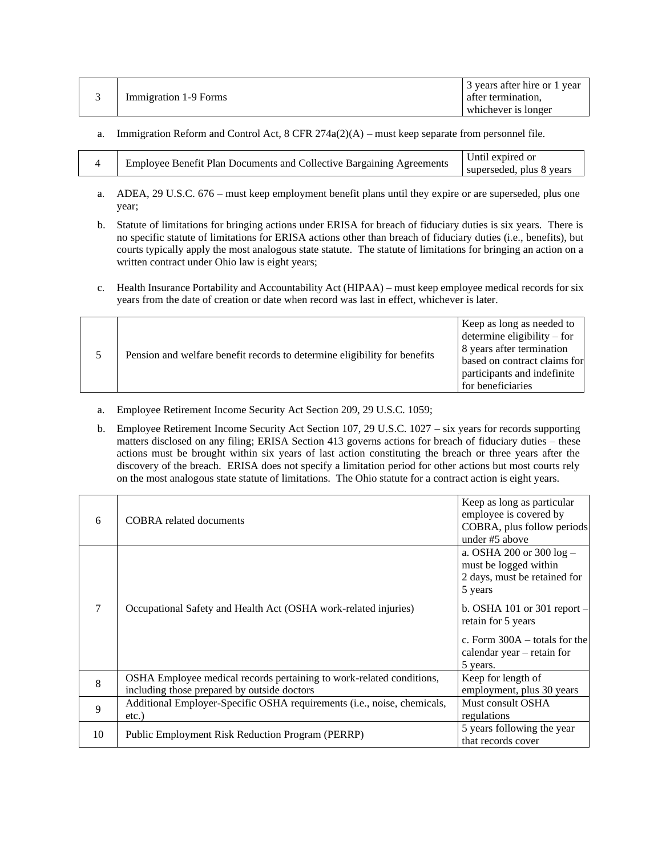| Immigration 1-9 Forms | 3 years after hire or 1 year<br>after termination, |
|-----------------------|----------------------------------------------------|
|                       | whichever is longer                                |

a. Immigration Reform and Control Act,  $8$  CFR  $274a(2)(A)$  – must keep separate from personnel file.

| Until expired or<br><b>Employee Benefit Plan Documents and Collective Bargaining Agreements</b><br>superseded, plus 8 years |
|-----------------------------------------------------------------------------------------------------------------------------|
|-----------------------------------------------------------------------------------------------------------------------------|

- a. ADEA, 29 U.S.C. 676 must keep employment benefit plans until they expire or are superseded, plus one year;
- b. Statute of limitations for bringing actions under ERISA for breach of fiduciary duties is six years. There is no specific statute of limitations for ERISA actions other than breach of fiduciary duties (i.e., benefits), but courts typically apply the most analogous state statute. The statute of limitations for bringing an action on a written contract under Ohio law is eight years;
- c. Health Insurance Portability and Accountability Act (HIPAA) must keep employee medical records for six years from the date of creation or date when record was last in effect, whichever is later.

|  | Pension and welfare benefit records to determine eligibility for benefits | Keep as long as needed to<br>determine eligibility $-$ for<br>8 years after termination<br>based on contract claims for<br>participants and indefinite<br>for beneficiaries |
|--|---------------------------------------------------------------------------|-----------------------------------------------------------------------------------------------------------------------------------------------------------------------------|
|--|---------------------------------------------------------------------------|-----------------------------------------------------------------------------------------------------------------------------------------------------------------------------|

- a. Employee Retirement Income Security Act Section 209, 29 U.S.C. 1059;
- b. Employee Retirement Income Security Act Section 107, 29 U.S.C. 1027 six years for records supporting matters disclosed on any filing; ERISA Section 413 governs actions for breach of fiduciary duties – these actions must be brought within six years of last action constituting the breach or three years after the discovery of the breach. ERISA does not specify a limitation period for other actions but most courts rely on the most analogous state statute of limitations. The Ohio statute for a contract action is eight years.

| 6  | <b>COBRA</b> related documents                                                                                      | Keep as long as particular<br>employee is covered by<br>COBRA, plus follow periods<br>under #5 above |
|----|---------------------------------------------------------------------------------------------------------------------|------------------------------------------------------------------------------------------------------|
| 7  |                                                                                                                     | a. OSHA 200 or 300 $log -$<br>must be logged within<br>2 days, must be retained for<br>5 years       |
|    | Occupational Safety and Health Act (OSHA work-related injuries)                                                     | b. OSHA 101 or 301 report $-$<br>retain for 5 years                                                  |
|    |                                                                                                                     | c. Form $300A -$ totals for the<br>calendar year $-$ retain for<br>5 years.                          |
| 8  | OSHA Employee medical records pertaining to work-related conditions,<br>including those prepared by outside doctors | Keep for length of<br>employment, plus 30 years                                                      |
| 9  | Additional Employer-Specific OSHA requirements (i.e., noise, chemicals,<br>$etc.$ )                                 | Must consult OSHA<br>regulations                                                                     |
| 10 | Public Employment Risk Reduction Program (PERRP)                                                                    | 5 years following the year<br>that records cover                                                     |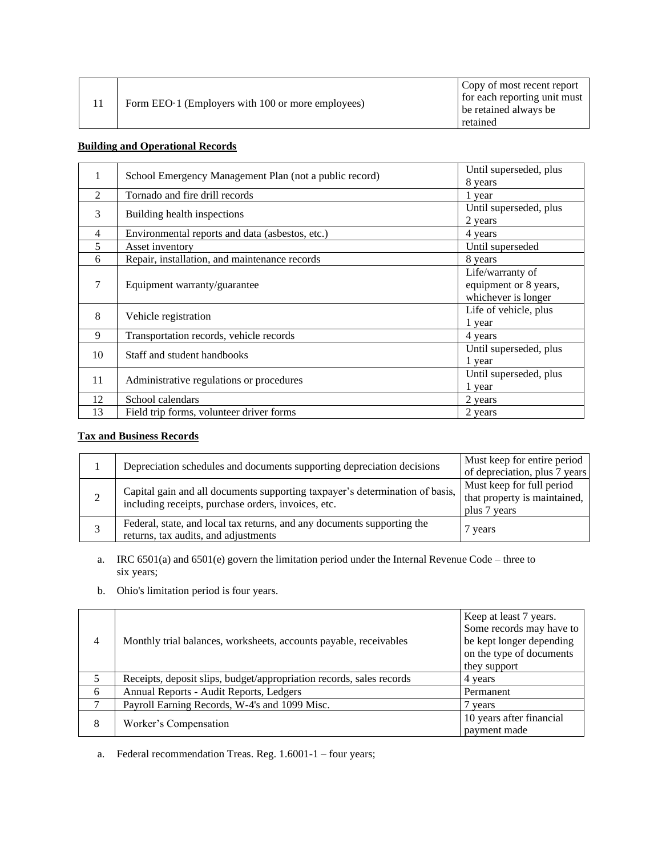| Form EEO 1 (Employers with 100 or more employees) | Copy of most recent report<br>for each reporting unit must<br>be retained always be |
|---------------------------------------------------|-------------------------------------------------------------------------------------|
|                                                   | retained                                                                            |

## **Building and Operational Records**

| 1              | School Emergency Management Plan (not a public record) | Until superseded, plus |
|----------------|--------------------------------------------------------|------------------------|
|                |                                                        | 8 years                |
| 2              | Tornado and fire drill records                         | 1 year                 |
| 3              |                                                        | Until superseded, plus |
|                | Building health inspections                            | 2 years                |
| $\overline{4}$ | Environmental reports and data (asbestos, etc.)        | 4 years                |
| 5              | Asset inventory                                        | Until superseded       |
| 6              | Repair, installation, and maintenance records          | 8 years                |
|                |                                                        | Life/warranty of       |
| 7              | Equipment warranty/guarantee                           | equipment or 8 years,  |
|                |                                                        | whichever is longer    |
| 8              |                                                        | Life of vehicle, plus  |
|                | Vehicle registration                                   | 1 year                 |
| 9              | Transportation records, vehicle records                | 4 years                |
| 10             | Staff and student handbooks                            | Until superseded, plus |
|                |                                                        | 1 year                 |
| 11             |                                                        | Until superseded, plus |
|                | Administrative regulations or procedures               | 1 year                 |
| 12             | School calendars                                       | 2 years                |
| 13             | Field trip forms, volunteer driver forms               | 2 years                |

# **Tax and Business Records**

| Depreciation schedules and documents supporting depreciation decisions                                                              | Must keep for entire period<br>of depreciation, plus 7 years              |
|-------------------------------------------------------------------------------------------------------------------------------------|---------------------------------------------------------------------------|
| Capital gain and all documents supporting taxpayer's determination of basis,<br>including receipts, purchase orders, invoices, etc. | Must keep for full period<br>that property is maintained,<br>plus 7 years |
| Federal, state, and local tax returns, and any documents supporting the<br>returns, tax audits, and adjustments                     | 7 years                                                                   |

a. IRC 6501(a) and 6501(e) govern the limitation period under the Internal Revenue Code – three to six years;

b. Ohio's limitation period is four years.

| 4 | Monthly trial balances, worksheets, accounts payable, receivables    | Keep at least 7 years.<br>Some records may have to<br>be kept longer depending<br>on the type of documents<br>they support |
|---|----------------------------------------------------------------------|----------------------------------------------------------------------------------------------------------------------------|
|   | Receipts, deposit slips, budget/appropriation records, sales records | 4 years                                                                                                                    |
| 6 | Annual Reports - Audit Reports, Ledgers                              | Permanent                                                                                                                  |
| 7 | Payroll Earning Records, W-4's and 1099 Misc.                        | vears                                                                                                                      |
| 8 | Worker's Compensation                                                | 10 years after financial<br>payment made                                                                                   |

a. Federal recommendation Treas. Reg. 1.6001-1 – four years;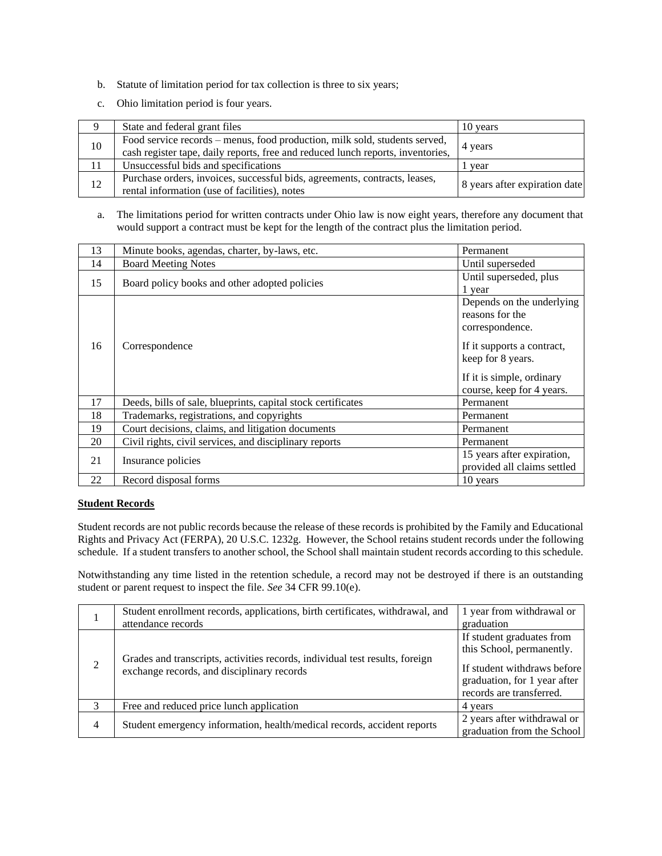- b. Statute of limitation period for tax collection is three to six years;
- c. Ohio limitation period is four years.

| 9  | State and federal grant files                                                                                                                                 | 10 years                      |
|----|---------------------------------------------------------------------------------------------------------------------------------------------------------------|-------------------------------|
| 10 | Food service records – menus, food production, milk sold, students served,<br>cash register tape, daily reports, free and reduced lunch reports, inventories, | 4 years                       |
|    | Unsuccessful bids and specifications                                                                                                                          | l vear                        |
| 12 | Purchase orders, invoices, successful bids, agreements, contracts, leases,<br>rental information (use of facilities), notes                                   | 8 years after expiration date |

a. The limitations period for written contracts under Ohio law is now eight years, therefore any document that would support a contract must be kept for the length of the contract plus the limitation period.

| 13 | Minute books, agendas, charter, by-laws, etc.                | Permanent                                                                                                 |
|----|--------------------------------------------------------------|-----------------------------------------------------------------------------------------------------------|
| 14 | <b>Board Meeting Notes</b>                                   | Until superseded                                                                                          |
| 15 | Board policy books and other adopted policies                | Until superseded, plus                                                                                    |
|    |                                                              | 1 year                                                                                                    |
|    |                                                              | Depends on the underlying<br>reasons for the<br>correspondence.                                           |
| 16 | Correspondence                                               | If it supports a contract,<br>keep for 8 years.<br>If it is simple, ordinary<br>course, keep for 4 years. |
| 17 | Deeds, bills of sale, blueprints, capital stock certificates | Permanent                                                                                                 |
| 18 | Trademarks, registrations, and copyrights                    | Permanent                                                                                                 |
| 19 | Court decisions, claims, and litigation documents            | Permanent                                                                                                 |
| 20 | Civil rights, civil services, and disciplinary reports       | Permanent                                                                                                 |
| 21 | Insurance policies                                           | 15 years after expiration,<br>provided all claims settled                                                 |
| 22 | Record disposal forms                                        | 10 years                                                                                                  |

### **Student Records**

Student records are not public records because the release of these records is prohibited by the Family and Educational Rights and Privacy Act (FERPA), 20 U.S.C. 1232g. However, the School retains student records under the following schedule. If a student transfers to another school, the School shall maintain student records according to this schedule.

Notwithstanding any time listed in the retention schedule, a record may not be destroyed if there is an outstanding student or parent request to inspect the file. *See* 34 CFR 99.10(e).

|                | Student enrollment records, applications, birth certificates, withdrawal, and                                              | 1 year from withdrawal or                                                                                                                         |
|----------------|----------------------------------------------------------------------------------------------------------------------------|---------------------------------------------------------------------------------------------------------------------------------------------------|
|                | attendance records                                                                                                         | graduation                                                                                                                                        |
| 2              | Grades and transcripts, activities records, individual test results, foreign<br>exchange records, and disciplinary records | If student graduates from<br>this School, permanently.<br>If student withdraws before<br>graduation, for 1 year after<br>records are transferred. |
| 3              | Free and reduced price lunch application                                                                                   | 4 years                                                                                                                                           |
| $\overline{4}$ | Student emergency information, health/medical records, accident reports                                                    | 2 years after withdrawal or<br>graduation from the School                                                                                         |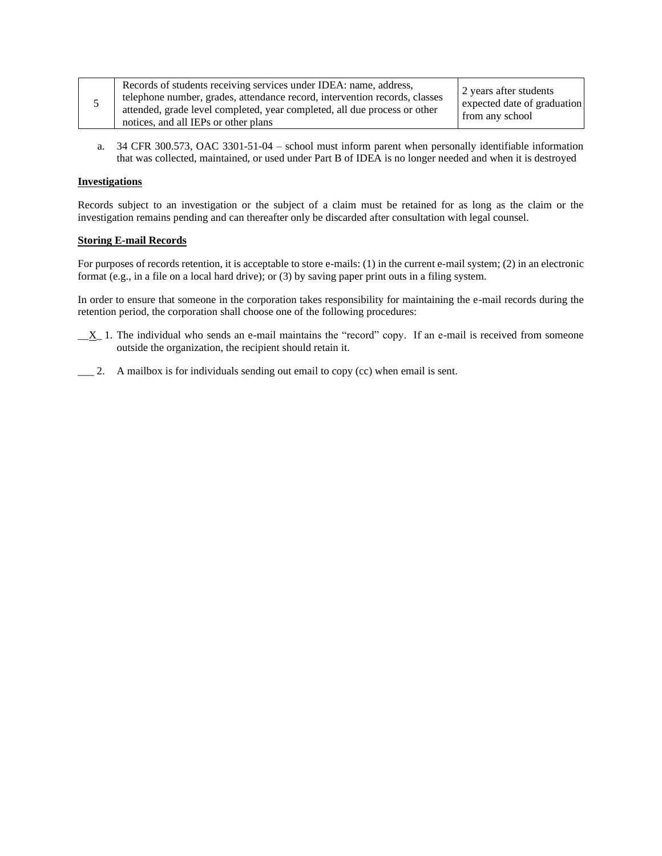|  | Records of students receiving services under IDEA: name, address,                                                                                       | 2 years after students                         |
|--|---------------------------------------------------------------------------------------------------------------------------------------------------------|------------------------------------------------|
|  | telephone number, grades, attendance record, intervention records, classes<br>attended, grade level completed, year completed, all due process or other | expected date of graduation<br>from any school |
|  | notices, and all IEPs or other plans                                                                                                                    |                                                |

a. 34 CFR 300.573, OAC 3301-51-04 – school must inform parent when personally identifiable information that was collected, maintained, or used under Part B of IDEA is no longer needed and when it is destroyed

### **Investigations**

Records subject to an investigation or the subject of a claim must be retained for as long as the claim or the investigation remains pending and can thereafter only be discarded after consultation with legal counsel.

### **Storing E-mail Records**

For purposes of records retention, it is acceptable to store e-mails: (1) in the current e-mail system; (2) in an electronic format (e.g., in a file on a local hard drive); or (3) by saving paper print outs in a filing system.

In order to ensure that someone in the corporation takes responsibility for maintaining the e-mail records during the retention period, the corporation shall choose one of the following procedures:

- $X_1$  1. The individual who sends an e-mail maintains the "record" copy. If an e-mail is received from someone outside the organization, the recipient should retain it.
- \_\_\_ 2. A mailbox is for individuals sending out email to copy (cc) when email is sent.